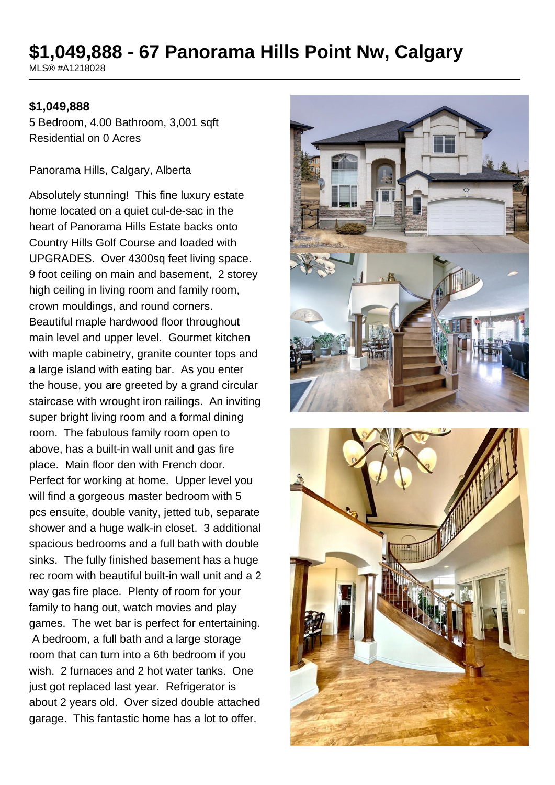# **\$1,049,888 - 67 Panorama Hills Point Nw, Calgary**

MLS® #A1218028

#### **\$1,049,888**

5 Bedroom, 4.00 Bathroom, 3,001 sqft Residential on 0 Acres

Panorama Hills, Calgary, Alberta

Absolutely stunning! This fine luxury estate home located on a quiet cul-de-sac in the heart of Panorama Hills Estate backs onto Country Hills Golf Course and loaded with UPGRADES. Over 4300sq feet living space. 9 foot ceiling on main and basement, 2 storey high ceiling in living room and family room, crown mouldings, and round corners. Beautiful maple hardwood floor throughout main level and upper level. Gourmet kitchen with maple cabinetry, granite counter tops and a large island with eating bar. As you enter the house, you are greeted by a grand circular staircase with wrought iron railings. An inviting super bright living room and a formal dining room. The fabulous family room open to above, has a built-in wall unit and gas fire place. Main floor den with French door. Perfect for working at home. Upper level you will find a gorgeous master bedroom with 5 pcs ensuite, double vanity, jetted tub, separate shower and a huge walk-in closet. 3 additional spacious bedrooms and a full bath with double sinks. The fully finished basement has a huge rec room with beautiful built-in wall unit and a 2 way gas fire place. Plenty of room for your family to hang out, watch movies and play games. The wet bar is perfect for entertaining. A bedroom, a full bath and a large storage room that can turn into a 6th bedroom if you wish. 2 furnaces and 2 hot water tanks. One just got replaced last year. Refrigerator is about 2 years old. Over sized double attached garage. This fantastic home has a lot to offer.



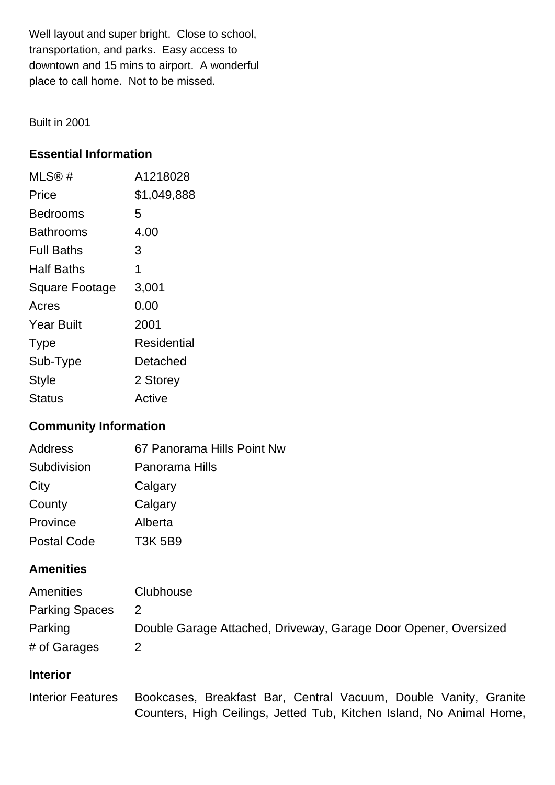Well layout and super bright. Close to school, transportation, and parks. Easy access to downtown and 15 mins to airport. A wonderful place to call home. Not to be missed.

Built in 2001

# **Essential Information**

| MLS@#                 | A1218028    |
|-----------------------|-------------|
| Price                 | \$1,049,888 |
| Bedrooms              | 5           |
| <b>Bathrooms</b>      | 4.00        |
| <b>Full Baths</b>     | 3           |
| <b>Half Baths</b>     | 1           |
| <b>Square Footage</b> | 3,001       |
| Acres                 | 0.00        |
| <b>Year Built</b>     | 2001        |
| <b>Type</b>           | Residential |
| Sub-Type              | Detached    |
| <b>Style</b>          | 2 Storey    |
| Status                | Active      |

# **Community Information**

| Address            | 67 Panorama Hills Point Nw |
|--------------------|----------------------------|
| Subdivision        | Panorama Hills             |
| City               | Calgary                    |
| County             | Calgary                    |
| Province           | Alberta                    |
| <b>Postal Code</b> | <b>T3K 5B9</b>             |

### **Amenities**

| Amenities             | Clubhouse                                                       |
|-----------------------|-----------------------------------------------------------------|
| <b>Parking Spaces</b> | $\mathbf{2}$                                                    |
| Parking               | Double Garage Attached, Driveway, Garage Door Opener, Oversized |
| # of Garages          |                                                                 |

# **Interior**

Interior Features Bookcases, Breakfast Bar, Central Vacuum, Double Vanity, Granite Counters, High Ceilings, Jetted Tub, Kitchen Island, No Animal Home,